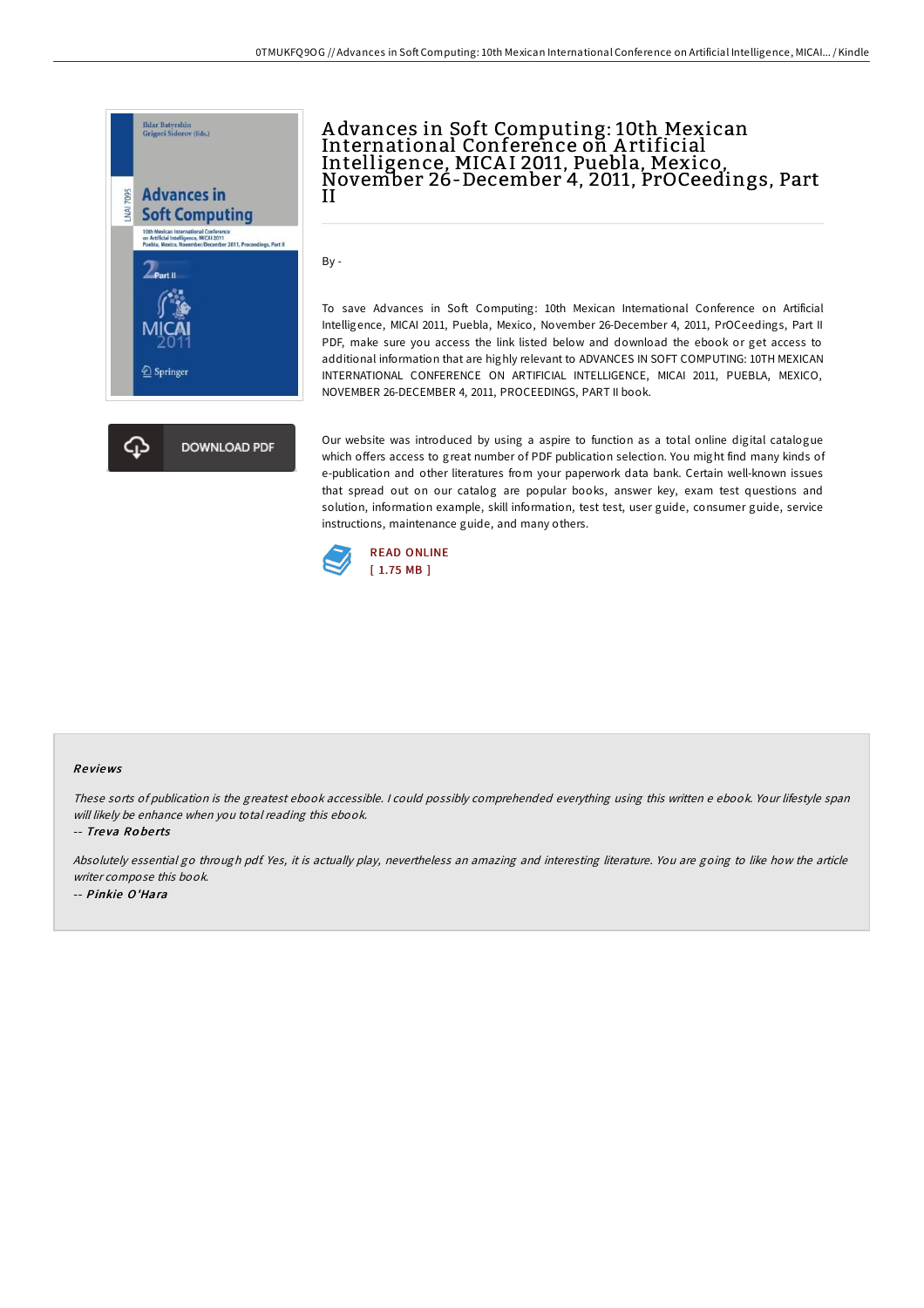

## A dvances in Soft Computing: 10th Mexican International Conference on Artificial<br>Intelligence, MICAI 2011, Puebla, Mexico, November 26-December 4, 2011, PrOCeedings, Part II

By -

To save Advances in Soft Computing: 10th Mexican International Conference on Artificial Intelligence, MICAI 2011, Puebla, Mexico, November 26-December 4, 2011, PrOCeedings, Part II PDF, make sure you access the link listed below and download the ebook or get access to additional information that are highly relevant to ADVANCES IN SOFT COMPUTING: 10TH MEXICAN INTERNATIONAL CONFERENCE ON ARTIFICIAL INTELLIGENCE, MICAI 2011, PUEBLA, MEXICO, NOVEMBER 26-DECEMBER 4, 2011, PROCEEDINGS, PART II book.

Our website was introduced by using a aspire to function as a total online digital catalogue which offers access to great number of PDF publication selection. You might find many kinds of e-publication and other literatures from your paperwork data bank. Certain well-known issues that spread out on our catalog are popular books, answer key, exam test questions and solution, information example, skill information, test test, user guide, consumer guide, service instructions, maintenance guide, and many others.



## Re views

These sorts of publication is the greatest ebook accessible. <sup>I</sup> could possibly comprehended everything using this written <sup>e</sup> ebook. Your lifestyle span will likely be enhance when you total reading this ebook.

-- Tre va Ro be rts

Absolutely essential go through pdf. Yes, it is actually play, nevertheless an amazing and interesting literature. You are going to like how the article writer compose this book. -- Pinkie O'Hara